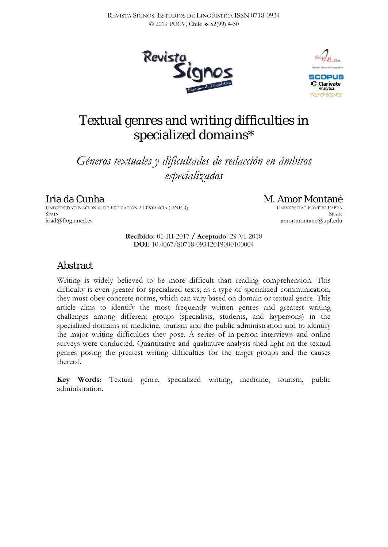



# Textual genres and writing difficulties in specialized domains\*

*Géneros textuales y dificultades de redacción en ámbitos especializados*

### Iria da Cunha

UNIVERSIDAD NACIONAL DE EDUCACIÓN A DISTANCIA (UNED) **SPAIN** iriad@flog.uned.es

# M. Amor Montané

UNIVERSITAT POMPEU FABRA **SPAIN** amor.montane@upf.edu

**Recibido:** 01-III-2017 **/ Aceptado:** 29-VI-2018 **DOI:** 10.4067/S0718-09342019000100004

### Abstract

Writing is widely believed to be more difficult than reading comprehension. This difficulty is even greater for specialized texts; as a type of specialized communication, they must obey concrete norms, which can vary based on domain or textual genre. This article aims to identify the most frequently written genres and greatest writing challenges among different groups (specialists, students, and laypersons) in the specialized domains of medicine, tourism and the public administration and to identify the major writing difficulties they pose. A series of in-person interviews and online surveys were conducted. Quantitative and qualitative analysis shed light on the textual genres posing the greatest writing difficulties for the target groups and the causes thereof.

**Key Words**: Textual genre, specialized writing, medicine, tourism, public administration.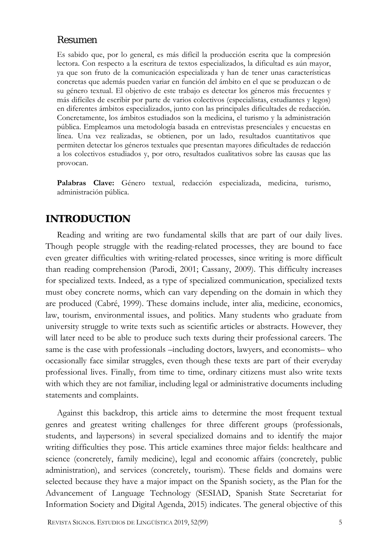### Resumen

Es sabido que, por lo general, es más difícil la producción escrita que la compresión lectora. Con respecto a la escritura de textos especializados, la dificultad es aún mayor, ya que son fruto de la comunicación especializada y han de tener unas características concretas que además pueden variar en función del ámbito en el que se produzcan o de su género textual. El objetivo de este trabajo es detectar los géneros más frecuentes y más difíciles de escribir por parte de varios colectivos (especialistas, estudiantes y legos) en diferentes ámbitos especializados, junto con las principales dificultades de redacción. Concretamente, los ámbitos estudiados son la medicina, el turismo y la administración pública. Empleamos una metodología basada en entrevistas presenciales y encuestas en línea. Una vez realizadas, se obtienen, por un lado, resultados cuantitativos que permiten detectar los géneros textuales que presentan mayores dificultades de redacción a los colectivos estudiados y, por otro, resultados cualitativos sobre las causas que las provocan.

**Palabras Clave:** Género textual, redacción especializada, medicina, turismo, administración pública.

### **INTRODUCTION**

Reading and writing are two fundamental skills that are part of our daily lives. Though people struggle with the reading-related processes, they are bound to face even greater difficulties with writing-related processes, since writing is more difficult than reading comprehension (Parodi, 2001; Cassany, 2009). This difficulty increases for specialized texts. Indeed, as a type of specialized communication, specialized texts must obey concrete norms, which can vary depending on the domain in which they are produced (Cabré, 1999). These domains include, inter alia, medicine, economics, law, tourism, environmental issues, and politics. Many students who graduate from university struggle to write texts such as scientific articles or abstracts. However, they will later need to be able to produce such texts during their professional careers. The same is the case with professionals –including doctors, lawyers, and economists– who occasionally face similar struggles, even though these texts are part of their everyday professional lives. Finally, from time to time, ordinary citizens must also write texts with which they are not familiar, including legal or administrative documents including statements and complaints.

Against this backdrop, this article aims to determine the most frequent textual genres and greatest writing challenges for three different groups (professionals, students, and laypersons) in several specialized domains and to identify the major writing difficulties they pose. This article examines three major fields: healthcare and science (concretely, family medicine), legal and economic affairs (concretely, public administration), and services (concretely, tourism). These fields and domains were selected because they have a major impact on the Spanish society, as the Plan for the Advancement of Language Technology (SESIAD, Spanish State Secretariat for Information Society and Digital Agenda, 2015) indicates. The general objective of this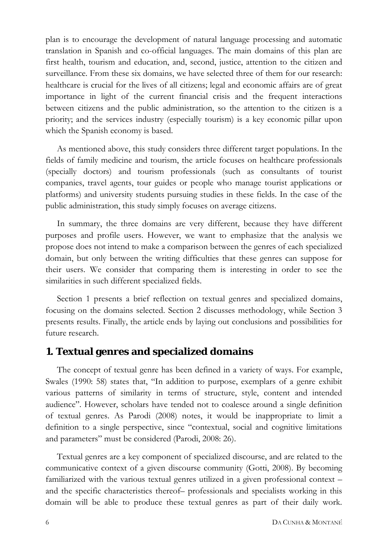plan is to encourage the development of natural language processing and automatic translation in Spanish and co-official languages. The main domains of this plan are first health, tourism and education, and, second, justice, attention to the citizen and surveillance. From these six domains, we have selected three of them for our research: healthcare is crucial for the lives of all citizens; legal and economic affairs are of great importance in light of the current financial crisis and the frequent interactions between citizens and the public administration, so the attention to the citizen is a priority; and the services industry (especially tourism) is a key economic pillar upon which the Spanish economy is based.

As mentioned above, this study considers three different target populations. In the fields of family medicine and tourism, the article focuses on healthcare professionals (specially doctors) and tourism professionals (such as consultants of tourist companies, travel agents, tour guides or people who manage tourist applications or platforms) and university students pursuing studies in these fields. In the case of the public administration, this study simply focuses on average citizens.

In summary, the three domains are very different, because they have different purposes and profile users. However, we want to emphasize that the analysis we propose does not intend to make a comparison between the genres of each specialized domain, but only between the writing difficulties that these genres can suppose for their users. We consider that comparing them is interesting in order to see the similarities in such different specialized fields.

Section 1 presents a brief reflection on textual genres and specialized domains, focusing on the domains selected. Section 2 discusses methodology, while Section 3 presents results. Finally, the article ends by laying out conclusions and possibilities for future research.

### **1. Textual genres and specialized domains**

The concept of textual genre has been defined in a variety of ways. For example, Swales (1990: 58) states that, "In addition to purpose, exemplars of a genre exhibit various patterns of similarity in terms of structure, style, content and intended audience". However, scholars have tended not to coalesce around a single definition of textual genres. As Parodi (2008) notes, it would be inappropriate to limit a definition to a single perspective, since "contextual, social and cognitive limitations and parameters" must be considered (Parodi, 2008: 26).

Textual genres are a key component of specialized discourse, and are related to the communicative context of a given discourse community (Gotti, 2008). By becoming familiarized with the various textual genres utilized in a given professional context – and the specific characteristics thereof– professionals and specialists working in this domain will be able to produce these textual genres as part of their daily work.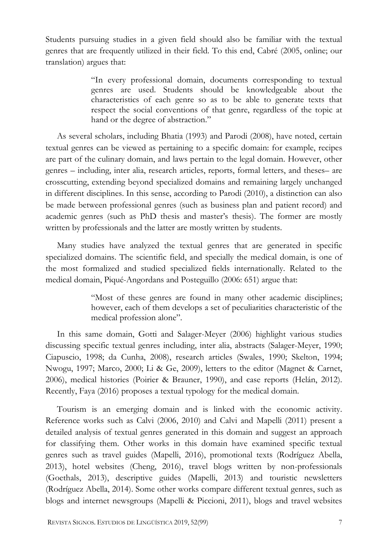Students pursuing studies in a given field should also be familiar with the textual genres that are frequently utilized in their field. To this end, Cabré (2005, online; our translation) argues that:

> "In every professional domain, documents corresponding to textual genres are used. Students should be knowledgeable about the characteristics of each genre so as to be able to generate texts that respect the social conventions of that genre, regardless of the topic at hand or the degree of abstraction."

As several scholars, including Bhatia (1993) and Parodi (2008), have noted, certain textual genres can be viewed as pertaining to a specific domain: for example, recipes are part of the culinary domain, and laws pertain to the legal domain. However, other genres – including, inter alia, research articles, reports, formal letters, and theses– are crosscutting, extending beyond specialized domains and remaining largely unchanged in different disciplines. In this sense, according to Parodi (2010), a distinction can also be made between professional genres (such as business plan and patient record) and academic genres (such as PhD thesis and master's thesis). The former are mostly written by professionals and the latter are mostly written by students.

Many studies have analyzed the textual genres that are generated in specific specialized domains. The scientific field, and specially the medical domain, is one of the most formalized and studied specialized fields internationally. Related to the medical domain, Piqué-Angordans and Posteguillo (2006: 651) argue that:

> "Most of these genres are found in many other academic disciplines; however, each of them develops a set of peculiarities characteristic of the medical profession alone".

In this same domain, Gotti and Salager-Meyer (2006) highlight various studies discussing specific textual genres including, inter alia, abstracts (Salager-Meyer, 1990; Ciapuscio, 1998; da Cunha, 2008), research articles (Swales, 1990; Skelton, 1994; Nwogu, 1997; Marco, 2000; Li & Ge, 2009), letters to the editor (Magnet & Carnet, 2006), medical histories (Poirier & Brauner, 1990), and case reports (Helán, 2012). Recently, Faya (2016) proposes a textual typology for the medical domain.

Tourism is an emerging domain and is linked with the economic activity. Reference works such as Calvi (2006, 2010) and Calvi and Mapelli (2011) present a detailed analysis of textual genres generated in this domain and suggest an approach for classifying them. Other works in this domain have examined specific textual genres such as travel guides (Mapelli, 2016), promotional texts (Rodríguez Abella, 2013), hotel websites (Cheng, 2016), travel blogs written by non-professionals (Goethals, 2013), descriptive guides (Mapelli, 2013) and touristic newsletters (Rodríguez Abella, 2014). Some other works compare different textual genres, such as blogs and internet newsgroups (Mapelli & Piccioni, 2011), blogs and travel websites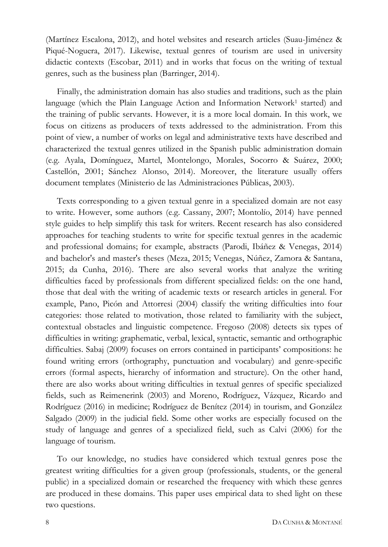(Martínez Escalona, 2012), and hotel websites and research articles (Suau-Jiménez & Piqué-Noguera, 2017). Likewise, textual genres of tourism are used in university didactic contexts (Escobar, 2011) and in works that focus on the writing of textual genres, such as the business plan (Barringer, 2014).

Finally, the administration domain has also studies and traditions, such as the plain language (which the Plain Language Action and Information Network<sup>1</sup> started) and the training of public servants. However, it is a more local domain. In this work, we focus on citizens as producers of texts addressed to the administration. From this point of view, a number of works on legal and administrative texts have described and characterized the textual genres utilized in the Spanish public administration domain (e.g. Ayala, Domínguez, Martel, Montelongo, Morales, Socorro & Suárez, 2000; Castellón, 2001; Sánchez Alonso, 2014). Moreover, the literature usually offers document templates (Ministerio de las Administraciones Públicas, 2003).

Texts corresponding to a given textual genre in a specialized domain are not easy to write. However, some authors (e.g. Cassany, 2007; Montolío, 2014) have penned style guides to help simplify this task for writers. Recent research has also considered approaches for teaching students to write for specific textual genres in the academic and professional domains; for example, abstracts (Parodi, Ibáñez & Venegas, 2014) and bachelor's and master's theses (Meza, 2015; Venegas, Núñez, Zamora & Santana, 2015; da Cunha, 2016). There are also several works that analyze the writing difficulties faced by professionals from different specialized fields: on the one hand, those that deal with the writing of academic texts or research articles in general. For example, Pano, Picón and Attorresi (2004) classify the writing difficulties into four categories: those related to motivation, those related to familiarity with the subject, contextual obstacles and linguistic competence. Fregoso (2008) detects six types of difficulties in writing: graphematic, verbal, lexical, syntactic, semantic and orthographic difficulties. Sabaj (2009) focuses on errors contained in participants' compositions: he found writing errors (orthography, punctuation and vocabulary) and genre-specific errors (formal aspects, hierarchy of information and structure). On the other hand, there are also works about writing difficulties in textual genres of specific specialized fields, such as Reimenerink (2003) and Moreno, Rodríguez, Vázquez, Ricardo and Rodríguez (2016) in medicine; Rodríguez de Benítez (2014) in tourism, and González Salgado (2009) in the judicial field. Some other works are especially focused on the study of language and genres of a specialized field, such as Calvi (2006) for the language of tourism.

To our knowledge, no studies have considered which textual genres pose the greatest writing difficulties for a given group (professionals, students, or the general public) in a specialized domain or researched the frequency with which these genres are produced in these domains. This paper uses empirical data to shed light on these two questions.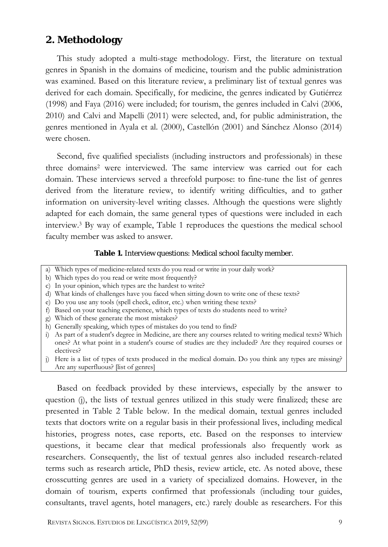### **2. Methodology**

This study adopted a multi-stage methodology. First, the literature on textual genres in Spanish in the domains of medicine, tourism and the public administration was examined. Based on this literature review, a preliminary list of textual genres was derived for each domain. Specifically, for medicine, the genres indicated by Gutiérrez (1998) and Faya (2016) were included; for tourism, the genres included in Calvi (2006, 2010) and Calvi and Mapelli (2011) were selected, and, for public administration, the genres mentioned in Ayala et al. (2000), Castellón (2001) and Sánchez Alonso (2014) were chosen.

Second, five qualified specialists (including instructors and professionals) in these three domains<sup>2</sup> were interviewed. The same interview was carried out for each domain. These interviews served a threefold purpose: to fine-tune the list of genres derived from the literature review, to identify writing difficulties, and to gather information on university-level writing classes. Although the questions were slightly adapted for each domain, the same general types of questions were included in each interview.3 By way of example, Table 1 reproduces the questions the medical school faculty member was asked to answer.

#### **Table 1.** Interview questions: Medical school faculty member.

- a) Which types of medicine-related texts do you read or write in your daily work?
- b) Which types do you read or write most frequently?
- c) In your opinion, which types are the hardest to write?
- d) What kinds of challenges have you faced when sitting down to write one of these texts?
- e) Do you use any tools (spell check, editor, etc.) when writing these texts?
- f) Based on your teaching experience, which types of texts do students need to write?
- g) Which of these generate the most mistakes?
- h) Generally speaking, which types of mistakes do you tend to find?
- i) As part of a student's degree in Medicine, are there any courses related to writing medical texts? Which ones? At what point in a student's course of studies are they included? Are they required courses or electives?
- j) Here is a list of types of texts produced in the medical domain. Do you think any types are missing? Are any superfluous? [list of genres]

Based on feedback provided by these interviews, especially by the answer to question (j), the lists of textual genres utilized in this study were finalized; these are presented in Table 2 [Table](#page-6-0) below. In the medical domain, textual genres included texts that doctors write on a regular basis in their professional lives, including medical histories, progress notes, case reports, etc. Based on the responses to interview questions, it became clear that medical professionals also frequently work as researchers. Consequently, the list of textual genres also included research-related terms such as research article, PhD thesis, review article, etc. As noted above, these crosscutting genres are used in a variety of specialized domains. However, in the domain of tourism, experts confirmed that professionals (including tour guides, consultants, travel agents, hotel managers, etc.) rarely double as researchers. For this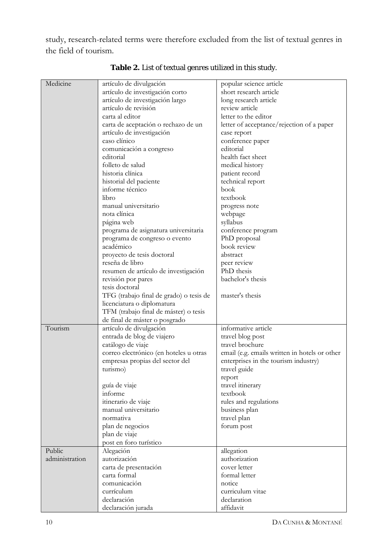study, research-related terms were therefore excluded from the list of textual genres in the field of tourism.

<span id="page-6-0"></span>

| Medicine       | artículo de divulgación                 | popular science article                       |
|----------------|-----------------------------------------|-----------------------------------------------|
|                | artículo de investigación corto         | short research article                        |
|                | artículo de investigación largo         | long research article                         |
|                | artículo de revisión                    | review article                                |
|                | carta al editor                         | letter to the editor                          |
|                | carta de aceptación o rechazo de un     | letter of acceptance/rejection of a paper     |
|                | artículo de investigación               | case report                                   |
|                | caso clínico                            | conference paper                              |
|                | comunicación a congreso                 | editorial                                     |
|                | editorial                               | health fact sheet                             |
|                | folleto de salud                        | medical history                               |
|                | historia clínica                        | patient record                                |
|                | historial del paciente                  | technical report                              |
|                | informe técnico                         | book                                          |
|                | libro                                   | textbook                                      |
|                | manual universitario                    | progress note                                 |
|                | nota clínica                            | webpage                                       |
|                | página web                              | syllabus                                      |
|                | programa de asignatura universitaria    | conference program                            |
|                | programa de congreso o evento           | PhD proposal                                  |
|                | académico                               | book review                                   |
|                | proyecto de tesis doctoral              | abstract                                      |
|                | reseña de libro                         | peer review                                   |
|                | resumen de artículo de investigación    | PhD thesis                                    |
|                | revisión por pares                      | bachelor's thesis                             |
|                | tesis doctoral                          |                                               |
|                | TFG (trabajo final de grado) o tesis de | master's thesis                               |
|                | licenciatura o diplomatura              |                                               |
|                | TFM (trabajo final de máster) o tesis   |                                               |
|                | de final de máster o posgrado           |                                               |
| Tourism        | artículo de divulgación                 | informative article                           |
|                | entrada de blog de viajero              | travel blog post                              |
|                | catálogo de viaje                       | travel brochure                               |
|                | correo electrónico (en hoteles u otras  | email (e.g. emails written in hotels or other |
|                | empresas propias del sector del         | enterprises in the tourism industry)          |
|                | turismo)                                | travel guide                                  |
|                |                                         | report                                        |
|                | guía de viaje                           | travel itinerary                              |
|                | informe                                 | textbook                                      |
|                | itinerario de viaje                     | rules and regulations                         |
|                | manual universitario                    | business plan                                 |
|                | normativa                               | travel plan                                   |
|                | plan de negocios                        | forum post                                    |
|                | plan de viaje                           |                                               |
|                | post en foro turístico                  |                                               |
| Public         | Alegación                               | allegation                                    |
| administration | autorización                            | authorization                                 |
|                | carta de presentación                   | cover letter                                  |
|                | carta formal                            | formal letter                                 |
|                | comunicación                            | notice                                        |
|                | currículum                              | curriculum vitae                              |
|                | declaración                             | declaration                                   |
|                | declaración jurada                      | affidavit                                     |

**Table 2.** List of textual genres utilized in this study.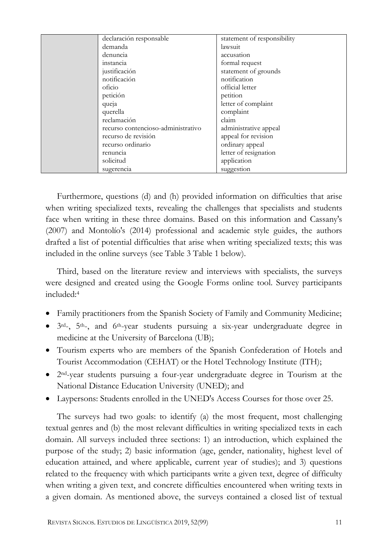| declaración responsable            | statement of responsibility |
|------------------------------------|-----------------------------|
| demanda                            | lawsuit                     |
| denuncia                           | accusation                  |
| instancia                          | formal request              |
| justificación                      | statement of grounds        |
| notificación                       | notification                |
| oficio                             | official letter             |
| petición                           | petition                    |
| queja                              | letter of complaint         |
| querella                           | complaint                   |
| reclamación                        | claim                       |
| recurso contencioso-administrativo | administrative appeal       |
| recurso de revisión                | appeal for revision         |
| recurso ordinario                  | ordinary appeal             |
| renuncia                           | letter of resignation       |
| solicitud                          | application                 |
| sugerencia                         | suggestion                  |

Furthermore, questions (d) and (h) provided information on difficulties that arise when writing specialized texts, revealing the challenges that specialists and students face when writing in these three domains. Based on this information and Cassany's (2007) and Montolío's (2014) professional and academic style guides, the authors drafted a list of potential difficulties that arise when writing specialized texts; this was included in the online surveys (see Table 3 Table 1 below).

Third, based on the literature review and interviews with specialists, the surveys were designed and created using the Google Forms online tool. Survey participants included:4

- Family practitioners from the Spanish Society of Family and Community Medicine;
- 3rd-, 5th-, and 6th-year students pursuing a six-year undergraduate degree in medicine at the University of Barcelona (UB);
- Tourism experts who are members of the Spanish Confederation of Hotels and Tourist Accommodation (CEHAT) or the Hotel Technology Institute (ITH);
- 2nd-year students pursuing a four-year undergraduate degree in Tourism at the National Distance Education University (UNED); and
- Laypersons: Students enrolled in the UNED's Access Courses for those over 25.

The surveys had two goals: to identify (a) the most frequent, most challenging textual genres and (b) the most relevant difficulties in writing specialized texts in each domain. All surveys included three sections: 1) an introduction, which explained the purpose of the study; 2) basic information (age, gender, nationality, highest level of education attained, and where applicable, current year of studies); and 3) questions related to the frequency with which participants write a given text, degree of difficulty when writing a given text, and concrete difficulties encountered when writing texts in a given domain. As mentioned above, the surveys contained a closed list of textual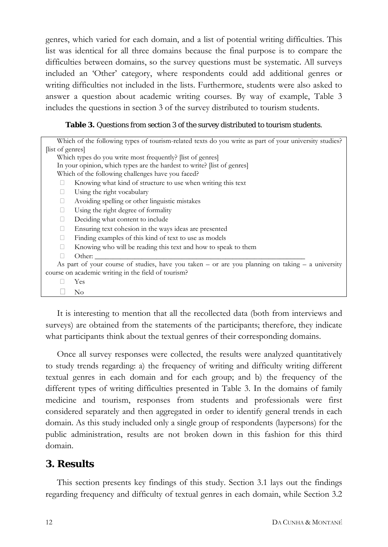genres, which varied for each domain, and a list of potential writing difficulties. This list was identical for all three domains because the final purpose is to compare the difficulties between domains, so the survey questions must be systematic. All surveys included an 'Other' category, where respondents could add additional genres or writing difficulties not included in the lists. Furthermore, students were also asked to answer a question about academic writing courses. By way of example, Table 3 includes the questions in section 3 of the survey distributed to tourism students.

#### **Table 3.** Questions from section 3 of the survey distributed to tourism students.

| Which of the following types of tourism-related texts do you write as part of your university studies? |  |  |  |  |  |  |
|--------------------------------------------------------------------------------------------------------|--|--|--|--|--|--|
| list of genres                                                                                         |  |  |  |  |  |  |
| Which types do you write most frequently? [list of genres]                                             |  |  |  |  |  |  |
| In your opinion, which types are the hardest to write? [list of genres]                                |  |  |  |  |  |  |
| Which of the following challenges have you faced?                                                      |  |  |  |  |  |  |
| Knowing what kind of structure to use when writing this text                                           |  |  |  |  |  |  |
| Using the right vocabulary<br>П                                                                        |  |  |  |  |  |  |
| Avoiding spelling or other linguistic mistakes<br>□                                                    |  |  |  |  |  |  |
| Using the right degree of formality<br>П                                                               |  |  |  |  |  |  |
| Deciding what content to include<br>П                                                                  |  |  |  |  |  |  |
| Ensuring text cohesion in the ways ideas are presented<br>П                                            |  |  |  |  |  |  |
| Finding examples of this kind of text to use as models<br>П                                            |  |  |  |  |  |  |
| Knowing who will be reading this text and how to speak to them<br>П                                    |  |  |  |  |  |  |
| Other:                                                                                                 |  |  |  |  |  |  |
| As part of your course of studies, have you taken – or are you planning on taking – a university       |  |  |  |  |  |  |
| course on academic writing in the field of tourism?                                                    |  |  |  |  |  |  |
| Yes                                                                                                    |  |  |  |  |  |  |
| No                                                                                                     |  |  |  |  |  |  |
|                                                                                                        |  |  |  |  |  |  |

It is interesting to mention that all the recollected data (both from interviews and surveys) are obtained from the statements of the participants; therefore, they indicate what participants think about the textual genres of their corresponding domains.

Once all survey responses were collected, the results were analyzed quantitatively to study trends regarding: a) the frequency of writing and difficulty writing different textual genres in each domain and for each group; and b) the frequency of the different types of writing difficulties presented in Table 3. In the domains of family medicine and tourism, responses from students and professionals were first considered separately and then aggregated in order to identify general trends in each domain. As this study included only a single group of respondents (laypersons) for the public administration, results are not broken down in this fashion for this third domain.

### **3. Results**

This section presents key findings of this study. Section 3.1 lays out the findings regarding frequency and difficulty of textual genres in each domain, while Section 3.2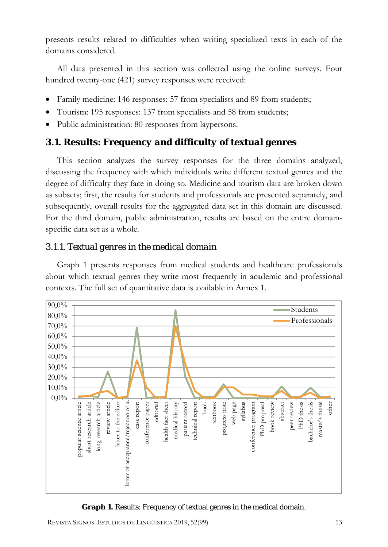presents results related to difficulties when writing specialized texts in each of the domains considered.

All data presented in this section was collected using the online surveys. Four hundred twenty-one (421) survey responses were received:

- Family medicine: 146 responses: 57 from specialists and 89 from students;
- Tourism: 195 responses: 137 from specialists and 58 from students;
- Public administration: 80 responses from laypersons.

### *3.1. Results: Frequency and difficulty of textual genres*

This section analyzes the survey responses for the three domains analyzed, discussing the frequency with which individuals write different textual genres and the degree of difficulty they face in doing so. Medicine and tourism data are broken down as subsets; first, the results for students and professionals are presented separately, and subsequently, overall results for the aggregated data set in this domain are discussed. For the third domain, public administration, results are based on the entire domainspecific data set as a whole.

### *3.1.1. Textual genres in the medical domain*

Graph 1 presents responses from medical students and healthcare professionals about which textual genres they write most frequently in academic and professional contexts. The full set of quantitative data is available in Annex 1.



**Graph 1.** Results: Frequency of textual genres in the medical domain.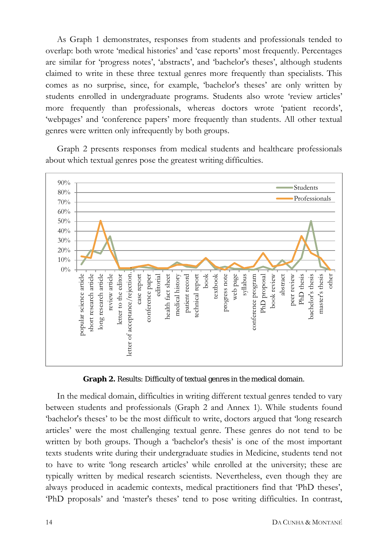As Graph 1 demonstrates, responses from students and professionals tended to overlap: both wrote 'medical histories' and 'case reports' most frequently. Percentages are similar for 'progress notes', 'abstracts', and 'bachelor's theses', although students claimed to write in these three textual genres more frequently than specialists. This comes as no surprise, since, for example, 'bachelor's theses' are only written by students enrolled in undergraduate programs. Students also wrote 'review articles' more frequently than professionals, whereas doctors wrote 'patient records', 'webpages' and 'conference papers' more frequently than students. All other textual genres were written only infrequently by both groups.

Graph 2 presents responses from medical students and healthcare professionals about which textual genres pose the greatest writing difficulties.



**Graph 2.** Results: Difficulty of textual genres in the medical domain.

In the medical domain, difficulties in writing different textual genres tended to vary between students and professionals (Graph 2 and Annex 1). While students found 'bachelor's theses' to be the most difficult to write, doctors argued that 'long research articles' were the most challenging textual genre. These genres do not tend to be written by both groups. Though a 'bachelor's thesis' is one of the most important texts students write during their undergraduate studies in Medicine, students tend not to have to write 'long research articles' while enrolled at the university; these are typically written by medical research scientists. Nevertheless, even though they are always produced in academic contexts, medical practitioners find that 'PhD theses', 'PhD proposals' and 'master's theses' tend to pose writing difficulties. In contrast,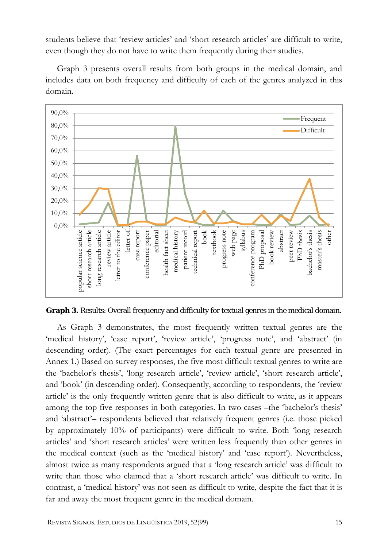students believe that 'review articles' and 'short research articles' are difficult to write, even though they do not have to write them frequently during their studies.

Graph 3 presents overall results from both groups in the medical domain, and includes data on both frequency and difficulty of each of the genres analyzed in this domain.



**Graph 3.** Results: Overall frequency and difficulty for textual genres in the medical domain.

As Graph 3 demonstrates, the most frequently written textual genres are the 'medical history', 'case report', 'review article', 'progress note', and 'abstract' (in descending order). (The exact percentages for each textual genre are presented in Annex 1.) Based on survey responses, the five most difficult textual genres to write are the 'bachelor's thesis', 'long research article', 'review article', 'short research article', and 'book' (in descending order). Consequently, according to respondents, the 'review article' is the only frequently written genre that is also difficult to write, as it appears among the top five responses in both categories. In two cases –the 'bachelor's thesis' and 'abstract'– respondents believed that relatively frequent genres (i.e. those picked by approximately 10% of participants) were difficult to write. Both 'long research articles' and 'short research articles' were written less frequently than other genres in the medical context (such as the 'medical history' and 'case report'). Nevertheless, almost twice as many respondents argued that a 'long research article' was difficult to write than those who claimed that a 'short research article' was difficult to write. In contrast, a 'medical history' was not seen as difficult to write, despite the fact that it is far and away the most frequent genre in the medical domain.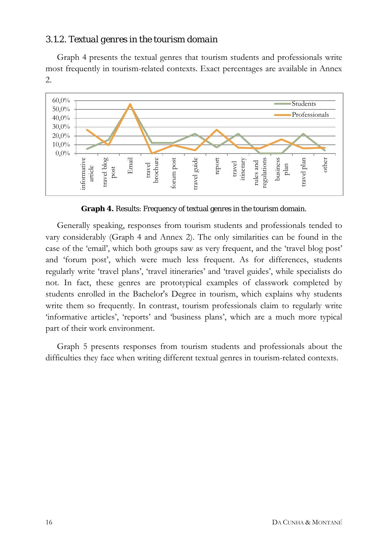#### *3.1.2. Textual genres in the tourism domain*

Graph 4 presents the textual genres that tourism students and professionals write most frequently in tourism-related contexts. Exact percentages are available in Annex 2.



**Graph 4.** Results: Frequency of textual genres in the tourism domain.

Generally speaking, responses from tourism students and professionals tended to vary considerably (Graph 4 and Annex 2). The only similarities can be found in the case of the 'email', which both groups saw as very frequent, and the 'travel blog post' and 'forum post', which were much less frequent. As for differences, students regularly write 'travel plans', 'travel itineraries' and 'travel guides', while specialists do not. In fact, these genres are prototypical examples of classwork completed by students enrolled in the Bachelor's Degree in tourism, which explains why students write them so frequently. In contrast, tourism professionals claim to regularly write 'informative articles', 'reports' and 'business plans', which are a much more typical part of their work environment.

Graph 5 presents responses from tourism students and professionals about the difficulties they face when writing different textual genres in tourism-related contexts.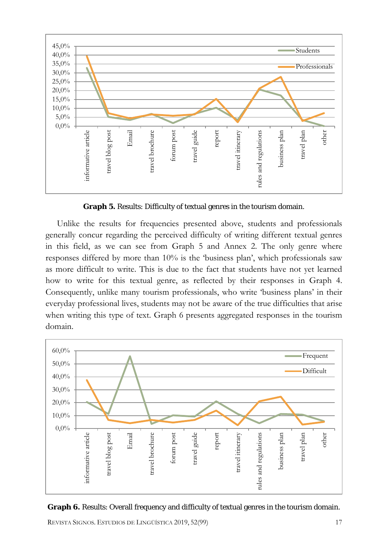

**Graph 5.** Results: Difficulty of textual genres in the tourism domain.

Unlike the results for frequencies presented above, students and professionals generally concur regarding the perceived difficulty of writing different textual genres in this field, as we can see from Graph 5 and Annex 2. The only genre where responses differed by more than 10% is the 'business plan', which professionals saw as more difficult to write. This is due to the fact that students have not yet learned how to write for this textual genre, as reflected by their responses in Graph 4. Consequently, unlike many tourism professionals, who write 'business plans' in their everyday professional lives, students may not be aware of the true difficulties that arise when writing this type of text. Graph 6 presents aggregated responses in the tourism domain.





REVISTA SIGNOS. ESTUDIOS DE LINGÜÍSTICA 2019, 52(99) 17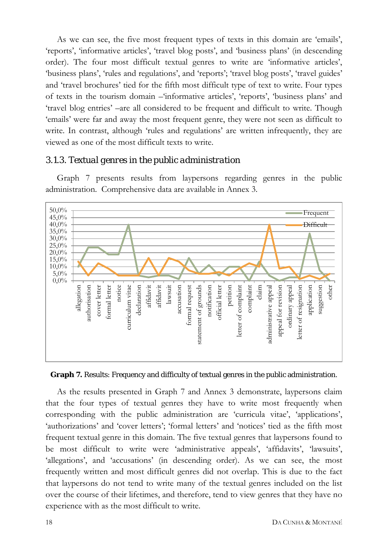As we can see, the five most frequent types of texts in this domain are 'emails', 'reports', 'informative articles', 'travel blog posts', and 'business plans' (in descending order). The four most difficult textual genres to write are 'informative articles', 'business plans', 'rules and regulations', and 'reports'; 'travel blog posts', 'travel guides' and 'travel brochures' tied for the fifth most difficult type of text to write. Four types of texts in the tourism domain –'informative articles', 'reports', 'business plans' and 'travel blog entries' –are all considered to be frequent and difficult to write. Though 'emails' were far and away the most frequent genre, they were not seen as difficult to write. In contrast, although 'rules and regulations' are written infrequently, they are viewed as one of the most difficult texts to write.

#### *3.1.3. Textual genres in the public administration*

Graph 7 presents results from laypersons regarding genres in the public administration. Comprehensive data are available in Annex 3.



**Graph 7.** Results: Frequency and difficulty of textual genres in the public administration.

As the results presented in Graph 7 and Annex 3 demonstrate, laypersons claim that the four types of textual genres they have to write most frequently when corresponding with the public administration are 'curricula vitae', 'applications', 'authorizations' and 'cover letters'; 'formal letters' and 'notices' tied as the fifth most frequent textual genre in this domain. The five textual genres that laypersons found to be most difficult to write were 'administrative appeals', 'affidavits', 'lawsuits', 'allegations', and 'accusations' (in descending order). As we can see, the most frequently written and most difficult genres did not overlap. This is due to the fact that laypersons do not tend to write many of the textual genres included on the list over the course of their lifetimes, and therefore, tend to view genres that they have no experience with as the most difficult to write.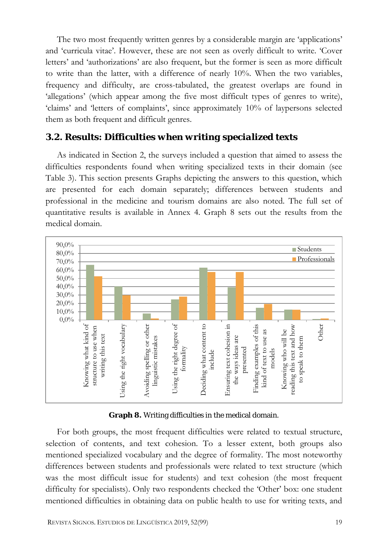The two most frequently written genres by a considerable margin are 'applications' and 'curricula vitae'. However, these are not seen as overly difficult to write. 'Cover letters' and 'authorizations' are also frequent, but the former is seen as more difficult to write than the latter, with a difference of nearly 10%. When the two variables, frequency and difficulty, are cross-tabulated, the greatest overlaps are found in 'allegations' (which appear among the five most difficult types of genres to write), 'claims' and 'letters of complaints', since approximately 10% of laypersons selected them as both frequent and difficult genres.

### *3.2. Results: Difficulties when writing specialized texts*

As indicated in Section 2, the surveys included a question that aimed to assess the difficulties respondents found when writing specialized texts in their domain (see Table 3). This section presents Graphs depicting the answers to this question, which are presented for each domain separately; differences between students and professional in the medicine and tourism domains are also noted. The full set of quantitative results is available in Annex 4. Graph 8 sets out the results from the medical domain.



#### **Graph 8.** Writing difficulties in the medical domain.

For both groups, the most frequent difficulties were related to textual structure, selection of contents, and text cohesion. To a lesser extent, both groups also mentioned specialized vocabulary and the degree of formality. The most noteworthy differences between students and professionals were related to text structure (which was the most difficult issue for students) and text cohesion (the most frequent difficulty for specialists). Only two respondents checked the 'Other' box: one student mentioned difficulties in obtaining data on public health to use for writing texts, and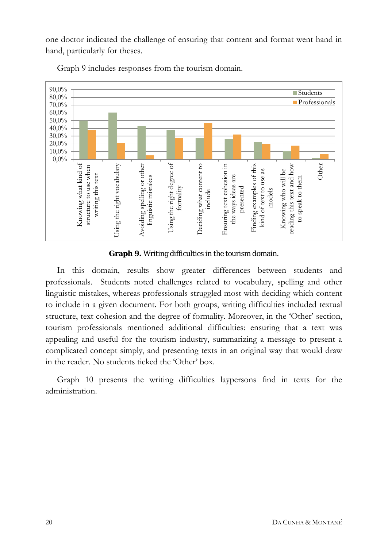one doctor indicated the challenge of ensuring that content and format went hand in hand, particularly for theses.



Graph 9 includes responses from the tourism domain.

**Graph 9.** Writing difficulties in the tourism domain.

In this domain, results show greater differences between students and professionals. Students noted challenges related to vocabulary, spelling and other linguistic mistakes, whereas professionals struggled most with deciding which content to include in a given document. For both groups, writing difficulties included textual structure, text cohesion and the degree of formality. Moreover, in the 'Other' section, tourism professionals mentioned additional difficulties: ensuring that a text was appealing and useful for the tourism industry, summarizing a message to present a complicated concept simply, and presenting texts in an original way that would draw in the reader. No students ticked the 'Other' box.

Graph 10 presents the writing difficulties laypersons find in texts for the administration.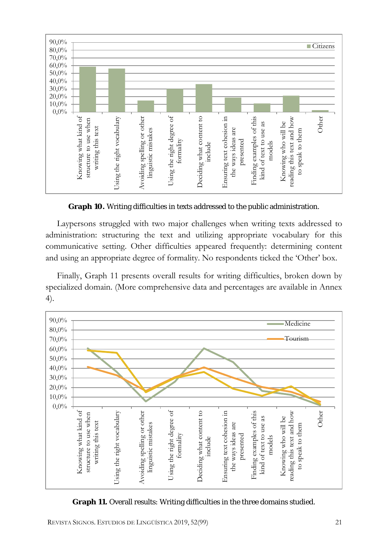

**Graph 10.** Writing difficulties in texts addressed to the public administration.

Laypersons struggled with two major challenges when writing texts addressed to administration: structuring the text and utilizing appropriate vocabulary for this communicative setting. Other difficulties appeared frequently: determining content and using an appropriate degree of formality. No respondents ticked the 'Other' box.

Finally, Graph 11 presents overall results for writing difficulties, broken down by specialized domain. (More comprehensive data and percentages are available in Annex 4).



**Graph 11.** Overall results: Writing difficulties in the three domains studied.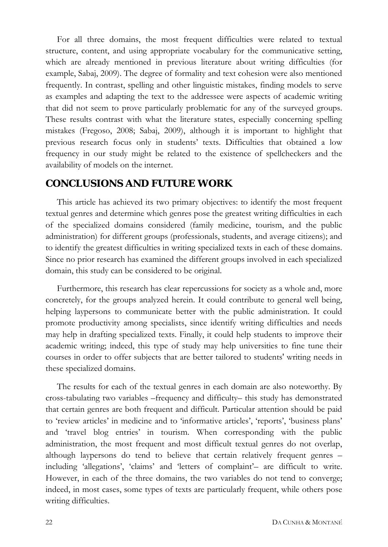For all three domains, the most frequent difficulties were related to textual structure, content, and using appropriate vocabulary for the communicative setting, which are already mentioned in previous literature about writing difficulties (for example, Sabaj, 2009). The degree of formality and text cohesion were also mentioned frequently. In contrast, spelling and other linguistic mistakes, finding models to serve as examples and adapting the text to the addressee were aspects of academic writing that did not seem to prove particularly problematic for any of the surveyed groups. These results contrast with what the literature states, especially concerning spelling mistakes (Fregoso, 2008; Sabaj, 2009), although it is important to highlight that previous research focus only in students' texts. Difficulties that obtained a low frequency in our study might be related to the existence of spellcheckers and the availability of models on the internet.

### **CONCLUSIONS AND FUTURE WORK**

This article has achieved its two primary objectives: to identify the most frequent textual genres and determine which genres pose the greatest writing difficulties in each of the specialized domains considered (family medicine, tourism, and the public administration) for different groups (professionals, students, and average citizens); and to identify the greatest difficulties in writing specialized texts in each of these domains. Since no prior research has examined the different groups involved in each specialized domain, this study can be considered to be original.

Furthermore, this research has clear repercussions for society as a whole and, more concretely, for the groups analyzed herein. It could contribute to general well being, helping laypersons to communicate better with the public administration. It could promote productivity among specialists, since identify writing difficulties and needs may help in drafting specialized texts. Finally, it could help students to improve their academic writing; indeed, this type of study may help universities to fine tune their courses in order to offer subjects that are better tailored to students' writing needs in these specialized domains.

The results for each of the textual genres in each domain are also noteworthy. By cross-tabulating two variables –frequency and difficulty– this study has demonstrated that certain genres are both frequent and difficult. Particular attention should be paid to 'review articles' in medicine and to 'informative articles', 'reports', 'business plans' and 'travel blog entries' in tourism. When corresponding with the public administration, the most frequent and most difficult textual genres do not overlap, although laypersons do tend to believe that certain relatively frequent genres – including 'allegations', 'claims' and 'letters of complaint'– are difficult to write. However, in each of the three domains, the two variables do not tend to converge; indeed, in most cases, some types of texts are particularly frequent, while others pose writing difficulties.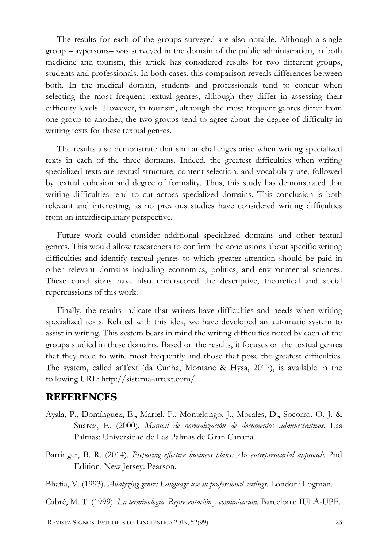The results for each of the groups surveyed are also notable. Although a single group –laypersons– was surveyed in the domain of the public administration, in both medicine and tourism, this article has considered results for two different groups, students and professionals. In both cases, this comparison reveals differences between both. In the medical domain, students and professionals tend to concur when selecting the most frequent textual genres, although they differ in assessing their difficulty levels. However, in tourism, although the most frequent genres differ from one group to another, the two groups tend to agree about the degree of difficulty in writing texts for these textual genres.

The results also demonstrate that similar challenges arise when writing specialized texts in each of the three domains. Indeed, the greatest difficulties when writing specialized texts are textual structure, content selection, and vocabulary use, followed by textual cohesion and degree of formality. Thus, this study has demonstrated that writing difficulties tend to cut across specialized domains. This conclusion is both relevant and interesting, as no previous studies have considered writing difficulties from an interdisciplinary perspective.

Future work could consider additional specialized domains and other textual genres. This would allow researchers to confirm the conclusions about specific writing difficulties and identify textual genres to which greater attention should be paid in other relevant domains including economics, politics, and environmental sciences. These conclusions have also underscored the descriptive, theoretical and social repercussions of this work.

Finally, the results indicate that writers have difficulties and needs when writing specialized texts. Related with this idea, we have developed an automatic system to assist in writing. This system bears in mind the writing difficulties noted by each of the groups studied in these domains. Based on the results, it focuses on the textual genres that they need to write most frequently and those that pose the greatest difficulties. The system, called arText (da Cunha, Montané & Hysa, 2017), is available in the following URL:<http://sistema-artext.com/>

#### **REFERENCES**

- Ayala, P., Domínguez, E., Martel, F., Montelongo, J., Morales, D., Socorro, O. J. & Suárez, E. (2000). *Manual de normalización de documentos administrativos*. Las Palmas: Universidad de Las Palmas de Gran Canaria.
- Barringer, B. R. (2014). *Preparing effective business plans: An entrepreneurial approach*. 2nd Edition. New Jersey: Pearson.
- Bhatia, V. (1993). *Analyzing genre: Language use in professional settings*. London: Logman.
- Cabré, M. T. (1999). *La terminología. Representación y comunicación*. Barcelona: IULA-UPF.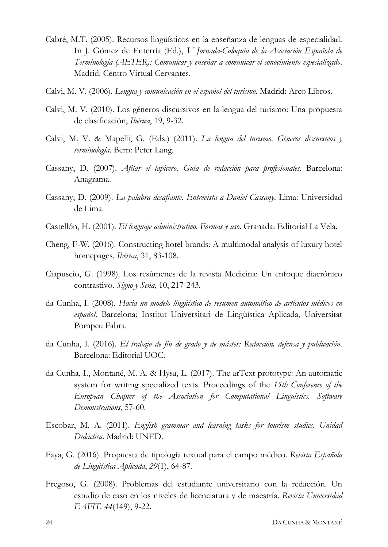- Cabré, M.T. (2005). Recursos lingüísticos en la enseñanza de lenguas de especialidad. In J. Gómez de Enterría (Ed.), *V Jornada-Coloquio de la Asociación Española de Terminología (AETER): Comunicar y enseñar a comunicar el conocimiento especializado*. Madrid: Centro Virtual Cervantes.
- Calvi, M. V. (2006). *Lengua y comunicación en el español del turismo*. Madrid: Arco Libros.
- Calvi, M. V. (2010). Los géneros discursivos en la lengua del turismo: Una propuesta de clasificación, *Ibérica*, 19, 9-32.
- Calvi, M. V. & Mapelli, G. (Eds.) (2011). *La lengua del turismo. Géneros discursivos y terminología*. Bern: Peter Lang.
- Cassany, D. (2007). *Afilar el lapicero. Guía de redacción para profesionales*. Barcelona: Anagrama.
- Cassany, D. (2009). *La palabra desafiante. Entrevista a Daniel Cassany*. Lima: Universidad de Lima.
- Castellón, H. (2001). *El lenguaje administrativo. Formas y uso*. Granada: Editorial La Vela.
- Cheng, F-W. (2016). Constructing hotel brands: A multimodal analysis of luxury hotel homepages. *Ibérica*, 31, 83-108.
- Ciapuscio, G. (1998). Los resúmenes de la revista Medicina: Un enfoque diacrónico contrastivo. *Signo y Seña,* 10, 217-243.
- da Cunha, I. (2008). *Hacia un modelo lingüístico de resumen automático de artículos médicos en español*. Barcelona: Institut Universitari de Lingüística Aplicada, Universitat Pompeu Fabra.
- da Cunha, I. (2016). *El trabajo de fin de grado y de máster: Redacción, defensa y publicación*. Barcelona: Editorial UOC.
- da Cunha, I., Montané, M. A. & Hysa, L. (2017). The arText prototype: An automatic system for writing specialized texts. Proceedings of the *15th Conference of the European Chapter of the Association for Computational Linguistics. Software Demonstrations*, 57-60.
- Escobar, M. A. (2011). *English grammar and learning tasks for tourism studies. Unidad Didáctica*. Madrid: UNED.
- Faya, G. (2016). Propuesta de tipología textual para el campo médico. *Revista Española de Lingüística Aplicada*, *29*(1), 64-87.
- Fregoso, G. (2008). Problemas del estudiante universitario con la redacción. Un estudio de caso en los niveles de licenciatura y de maestría. *Revista Universidad EAFIT, 44*(149), 9-22.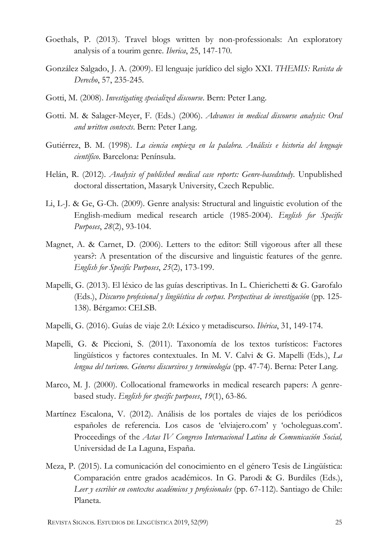- Goethals, P. (2013). Travel blogs written by non-professionals: An exploratory analysis of a tourim genre. *Iberica*, 25, 147-170.
- González Salgado, J. A. (2009). El lenguaje jurídico del siglo XXI. *THEMIS: Revista de Derecho*, 57, 235-245.
- Gotti, M. (2008). *Investigating specialized discourse*. Bern: Peter Lang.
- Gotti. M. & Salager-Meyer, F. (Eds.) (2006). *Advances in medical discourse analysis: Oral and written contexts*. Bern: Peter Lang.
- Gutiérrez, B. M. (1998). *La ciencia empieza en la palabra. Análisis e historia del lenguaje científico*. Barcelona: Península.
- Helán, R. (2012). *Analysis of published medical case reports: Genre-basedstudy*. Unpublished doctoral dissertation, Masaryk University, Czech Republic.
- Li, L-J. & Ge, G-Ch. (2009). Genre analysis: Structural and linguistic evolution of the English-medium medical research article (1985-2004). *English for Specific Purposes*, *28*(2), 93-104.
- Magnet, A. & Carnet, D. (2006). Letters to the editor: Still vigorous after all these years?: A presentation of the discursive and linguistic features of the genre. *English for Specific Purposes*, *25*(2), 173-199.
- Mapelli, G. (2013). El léxico de las guías descriptivas. In L. Chierichetti & G. Garofalo (Eds.), *Discurso profesional y lingüística de corpus. Perspectivas de investigación* (pp. 125- 138). Bérgamo: CELSB.
- Mapelli, G. (2016). Guías de viaje 2.0: Léxico y metadiscurso. *Ibérica*, 31, 149-174.
- Mapelli, G. & Piccioni, S. (2011). Taxonomía de los textos turísticos: Factores lingüísticos y factores contextuales. In M. V. Calvi & G. Mapelli (Eds.), *La lengua del turismo. Géneros discursivos y terminología* (pp. 47-74). Berna: Peter Lang.
- Marco, M. J. (2000). Collocational frameworks in medical research papers: A genrebased study. *English for specific purposes*, *19*(1), 63-86.
- Martínez Escalona, V. (2012). Análisis de los portales de viajes de los periódicos españoles de referencia. Los casos de 'elviajero.com' y 'ocholeguas.com'. Proceedings of the *Actas IV Congreso Internacional Latina de Comunicación Social,*  Universidad de La Laguna, España.
- Meza, P. (2015). La comunicación del conocimiento en el género Tesis de Lingüística: Comparación entre grados académicos. In G. Parodi & G. Burdiles (Eds.), *Leer y escribir en contextos académicos y profesionales* (pp. 67-112). Santiago de Chile: Planeta.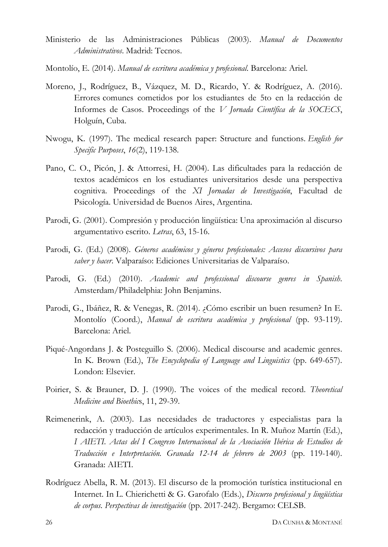- Ministerio de las Administraciones Públicas (2003). *Manual de Documentos Administrativos*. Madrid: Tecnos.
- Montolío, E. (2014). *Manual de escritura académica y profesional*. Barcelona: Ariel.
- Moreno, J., Rodríguez, B., Vázquez, M. D., Ricardo, Y. & Rodríguez, A. (2016). Errores comunes cometidos por los estudiantes de 5to en la redacción de Informes de Casos. Proceedings of the *V Jornada Científica de la SOCECS*, Holguín, Cuba.
- Nwogu, K. (1997). The medical research paper: Structure and functions. *English for Specific Purposes*, *16*(2), 119-138.
- Pano, C. O., Picón, J. & Attorresi, H. (2004). Las dificultades para la redacción de textos académicos en los estudiantes universitarios desde una perspectiva cognitiva. Proceedings of the *XI Jornadas de Investigación*, Facultad de Psicología. Universidad de Buenos Aires, Argentina.
- Parodi, G. (2001). Compresión y producción lingüística: Una aproximación al discurso argumentativo escrito. *Letras*, 63, 15-16.
- Parodi, G. (Ed.) (2008). *Géneros académicos y géneros profesionales: Accesos discursivos para saber y hacer*. Valparaíso: Ediciones Universitarias de Valparaíso.
- Parodi, G. (Ed.) (2010). *Academic and professional discourse genres in Spanish*. Amsterdam/Philadelphia: John Benjamins.
- Parodi, G., Ibáñez, R. & Venegas, R. (2014). ¿Cómo escribir un buen resumen? In E. Montolío (Coord.), *Manual de escritura académica y profesional* (pp. 93-119). Barcelona: Ariel.
- Piqué-Angordans J. & Posteguillo S. (2006). Medical discourse and academic genres. In K. Brown (Ed.), *The Encyclopedia of Language and Linguistics* (pp. 649-657). London: Elsevier.
- Poirier, S. & Brauner, D. J. (1990). The voices of the medical record. *Theoretical Medicine and Bioethic*s, 11, 29-39.
- Reimenerink, A. (2003). Las necesidades de traductores y especialistas para la redacción y traducción de artículos experimentales. In R. Muñoz Martín (Ed.), *I AIETI. Actas del I Congreso Internacional de la Asociación Ibérica de Estudios de Traducción e Interpretación. Granada 12-14 de febrero de 2003* (pp. 119-140). Granada: AIETI.
- Rodríguez Abella, R. M. (2013). El discurso de la promoción turística institucional en Internet. In L. Chierichetti & G. Garofalo (Eds.), *Discurso profesional y lingüística de corpus. Perspectivas de investigación* (pp. 2017-242). Bergamo: CELSB.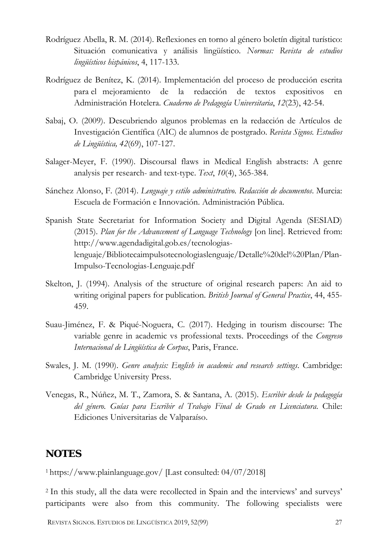- Rodríguez Abella, R. M. (2014). Reflexiones en torno al género boletín digital turístico: Situación comunicativa y análisis lingüístico. *Normas: Revista de estudios lingüísticos hispánicos*, 4, 117-133.
- Rodríguez de Benítez, K. (2014). Implementación del proceso de producción escrita para el mejoramiento de la redacción de textos expositivos en Administración Hotelera. *Cuaderno de Pedagogía Universitaria*, *12*(23), 42-54.
- Sabaj, O. (2009). Descubriendo algunos problemas en la redacción de Artículos de Investigación Científica (AIC) de alumnos de postgrado. *Revista Signos. Estudios de Lingüística, 42*(69), 107-127.
- Salager-Meyer, F. (1990). Discoursal flaws in Medical English abstracts: A genre analysis per research- and text-type. *Text*, *10*(4), 365-384.
- Sánchez Alonso, F. (2014). *Lenguaje y estilo administrativo. Redacción de documentos*. Murcia: Escuela de Formación e Innovación. Administración Pública.
- Spanish State Secretariat for Information Society and Digital Agenda (SESIAD) (2015). *Plan for the Advancement of Language Technology* [on line]. Retrieved from: [http://www.agendadigital.gob.es/tecnologias](http://www.agendadigital.gob.es/tecnologias-lenguaje/Bibliotecaimpulsotecnologiaslenguaje/Detalle%20del%20Plan/Plan-Impulso-Tecnologias-Lenguaje.pdf)[lenguaje/Bibliotecaimpulsotecnologiaslenguaje/Detalle%20del%20Plan/Plan-](http://www.agendadigital.gob.es/tecnologias-lenguaje/Bibliotecaimpulsotecnologiaslenguaje/Detalle%20del%20Plan/Plan-Impulso-Tecnologias-Lenguaje.pdf)[Impulso-Tecnologias-Lenguaje.pdf](http://www.agendadigital.gob.es/tecnologias-lenguaje/Bibliotecaimpulsotecnologiaslenguaje/Detalle%20del%20Plan/Plan-Impulso-Tecnologias-Lenguaje.pdf)
- Skelton, J. (1994). Analysis of the structure of original research papers: An aid to writing original papers for publication. *British Journal of General Practice*, 44, 455- 459.
- Suau-Jiménez, F. & Piqué-Noguera, C. (2017). Hedging in tourism discourse: The variable genre in academic vs professional texts. Proceedings of the *Congreso Internacional de Lingüística de Corpus*, Paris, France.
- Swales, J. M. (1990). *Genre analysis: English in academic and research settings*. Cambridge: Cambridge University Press.
- Venegas, R., Núñez, M. T., Zamora, S. & Santana, A. (2015). *Escribir desde la pedagogía del género. Guías para Escribir el Trabajo Final de Grado en Licenciatura*. Chile: Ediciones Universitarias de Valparaíso.

### **NOTES**

<sup>1</sup> <https://www.plainlanguage.gov/> [Last consulted: 04/07/2018]

<sup>2</sup> In this study, all the data were recollected in Spain and the interviews' and surveys' participants were also from this community. The following specialists were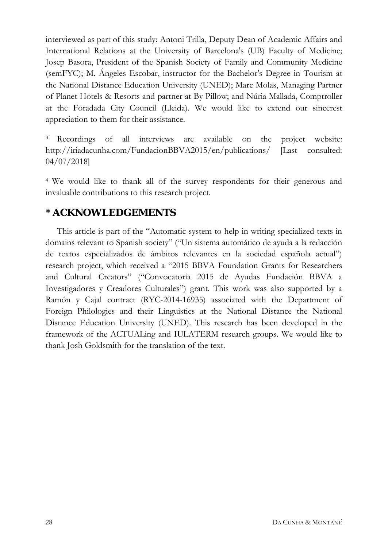interviewed as part of this study: Antoni Trilla, Deputy Dean of Academic Affairs and International Relations at the University of Barcelona's (UB) Faculty of Medicine; Josep Basora, President of the Spanish Society of Family and Community Medicine (semFYC); M. Ángeles Escobar, instructor for the Bachelor's Degree in Tourism at the National Distance Education University (UNED); Marc Molas, Managing Partner of Planet Hotels & Resorts and partner at By Pillow; and Núria Mallada, Comptroller at the Foradada City Council (Lleida). We would like to extend our sincerest appreciation to them for their assistance.

<sup>3</sup> Recordings of all interviews are available on the project website: <http://iriadacunha.com/FundacionBBVA2015/en/publications/> [Last consulted: 04/07/2018]

<sup>4</sup> We would like to thank all of the survey respondents for their generous and invaluable contributions to this research project.

### **\* ACKNOWLEDGEMENTS**

This article is part of the "Automatic system to help in writing specialized texts in domains relevant to Spanish society" ("Un sistema automático de ayuda a la redacción de textos especializados de ámbitos relevantes en la sociedad española actual") research project, which received a "2015 BBVA Foundation Grants for Researchers and Cultural Creators" ("Convocatoria 2015 de Ayudas Fundación BBVA a Investigadores y Creadores Culturales") grant. This work was also supported by a Ramón y Cajal contract (RYC-2014-16935) associated with the Department of Foreign Philologies and their Linguistics at the National Distance the National Distance Education University (UNED). This research has been developed in the framework of the ACTUALing and IULATERM research groups. We would like to thank Josh Goldsmith for the translation of the text.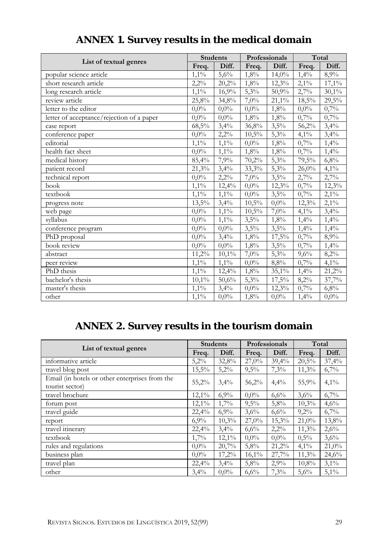| List of textual genres                    |         | <b>Students</b> |         | Professionals |         | Total     |  |
|-------------------------------------------|---------|-----------------|---------|---------------|---------|-----------|--|
|                                           |         | Diff.           | Freq.   | Diff.         | Freq.   | Diff.     |  |
| popular science article                   | $1,1\%$ | 5,6%            | 1,8%    | $14,0\%$      | 1,4%    | 8,9%      |  |
| short research article                    | $2,2\%$ | 20,2%           | 1,8%    | 12,3%         | $2,1\%$ | 17,1%     |  |
| long research article                     | $1,1\%$ | 16,9%           | 5,3%    | 50,9%         | 2,7%    | $30,1\%$  |  |
| review article                            | 25,8%   | 34,8%           | 7,0%    | 21,1%         | 18,5%   | 29,5%     |  |
| letter to the editor                      |         | $0,0\%$         | $0,0\%$ | $1,8\%$       | $0,0\%$ | 0,7%      |  |
| letter of acceptance/rejection of a paper | $0,0\%$ | $0,0\%$         | 1,8%    | 1,8%          | 0,7%    | 0,7%      |  |
| case report                               | 68,5%   | 3,4%            | 36,8%   | 3,5%          | 56,2%   | 3,4%      |  |
| conference paper                          | $0,0\%$ | 2,2%            | 10,5%   | 5,3%          | $4,1\%$ | 3,4%      |  |
| editorial                                 | $1,1\%$ | 1,1%            | $0,0\%$ | 1,8%          | 0,7%    | 1,4%      |  |
| health fact sheet                         | $0,0\%$ | 1,1%            | 1,8%    | 1,8%          | 0,7%    | 1,4%      |  |
| medical history                           | 85,4%   | 7,9%            | 70,2%   | 5,3%          | 79,5%   | 6,8%      |  |
| patient record                            | 21,3%   | 3,4%            | 33,3%   | 5,3%          | 26,0%   | $4,1\%$   |  |
| technical report                          | $0,0\%$ | $2,2\%$         | 7,0%    | 3,5%          | 2,7%    | 2,7%      |  |
| book                                      | $1,1\%$ | 12,4%           | $0,0\%$ | 12,3%         | 0,7%    | 12,3%     |  |
| textbook                                  | $1,1\%$ | $1,1\%$         | $0,0\%$ | 3,5%          | 0,7%    | $2,1\%$   |  |
| progress note                             | 13,5%   | 3,4%            | 10,5%   | $0,0\%$       | 12,3%   | $2,1\%$   |  |
| web page                                  | $0,0\%$ | $1,1\%$         | 10,5%   | 7,0%          | $4,1\%$ | 3,4%      |  |
| syllabus                                  | $0,0\%$ | $1,1\%$         | 3,5%    | 1,8%          | 1,4%    | 1,4%      |  |
| conference program                        | $0,0\%$ | $0,0\%$         | 3,5%    | 3,5%          | 1,4%    | 1,4%      |  |
| PhD proposal                              | $0.0\%$ | 3,4%            | 1,8%    | 17,5%         | 0,7%    | 8,9%      |  |
| book review                               | $0.0\%$ | $0,0\%$         | 1,8%    | 3,5%          | 0,7%    | 1,4%      |  |
| abstract                                  | 11,2%   | $10,1\%$        | $7,0\%$ | 5,3%          | 9,6%    | 8,2%      |  |
| peer review                               | $1,1\%$ | $1,1\%$         | $0,0\%$ | 8,8%          | 0,7%    | $4,1\%$   |  |
| PhD thesis                                | $1,1\%$ | 12,4%           | 1,8%    | $35,1\%$      | 1,4%    | $21,2\%$  |  |
| bachelor's thesis                         |         | 50,6%           | 5,3%    | 17,5%         | 8,2%    | 37,7%     |  |
| master's thesis                           | $1,1\%$ | 3,4%            | $0,0\%$ | 12,3%         | 0,7%    | 6,8%      |  |
| other                                     | $1,1\%$ | $0,0\%$         | 1,8%    | $0,0\%$       | 1,4%    | $0,\!0\%$ |  |

# **ANNEX 1. Survey results in the medical domain**

# **ANNEX 2. Survey results in the tourism domain**

|                                                                   | <b>Students</b> |          | Professionals |         | Total   |         |
|-------------------------------------------------------------------|-----------------|----------|---------------|---------|---------|---------|
| List of textual genres                                            |                 | Diff.    | Freq.         | Diff.   | Freq.   | Diff.   |
| informative article                                               | 5,2%            | 32,8%    | 27,0%         | 39,4%   | 20,5%   | 37,4%   |
| travel blog post                                                  | 15,5%           | 5,2%     | 9,5%          | 7,3%    | 11,3%   | 6,7%    |
| Email (in hotels or other enterprises from the<br>tourist sector) | 55,2%           | 3,4%     | 56,2%         | 4,4%    | 55,9%   | $4.1\%$ |
| travel brochure                                                   | $12,1\%$        | 6,9%     | $0.0\%$       | 6,6%    | 3,6%    | 6,7%    |
| forum post                                                        | 12,1%           | 1,7%     | 9,5%          | 5,8%    | 10,3%   | 4,6%    |
| travel guide                                                      | 22,4%           | 6,9%     | 3,6%          | 6,6%    | 9,2%    | 6,7%    |
| report                                                            | 6,9%            | 10,3%    | 27,0%         | 15,3%   | 21,0%   | 13,8%   |
| travel itinerary                                                  | 22,4%           | 3,4%     | 6,6%          | 2,2%    | 11,3%   | 2,6%    |
| textbook                                                          | 1,7%            | $12,1\%$ | $0,0\%$       | $0.0\%$ | 0,5%    | 3,6%    |
| rules and regulations                                             | $0.0\%$         | 20,7%    | 5,8%          | 21,2%   | $4.1\%$ | 21,0%   |
| business plan                                                     | $0.0\%$         | 17,2%    | $16,1\%$      | 27,7%   | 11,3%   | 24,6%   |
| travel plan                                                       | 22,4%           | 3,4%     | 5,8%          | 2,9%    | 10,8%   | $3,1\%$ |
| other                                                             | 3,4%            | $0.0\%$  | 6,6%          | 7,3%    | 5,6%    | $5,1\%$ |